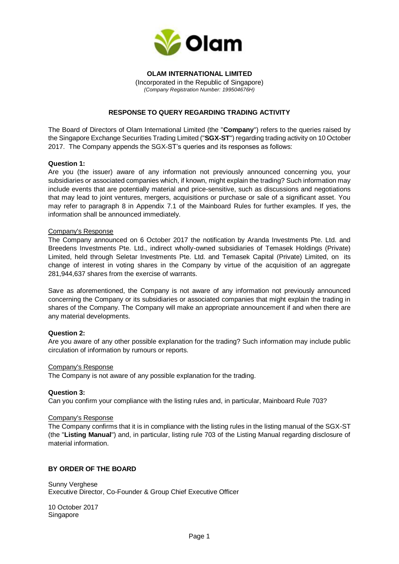

# **OLAM INTERNATIONAL LIMITED** (Incorporated in the Republic of Singapore)

*(Company Registration Number: 199504676H)*

# **RESPONSE TO QUERY REGARDING TRADING ACTIVITY**

The Board of Directors of Olam International Limited (the "**Company**") refers to the queries raised by the Singapore Exchange Securities Trading Limited ("**SGX-ST**") regarding trading activity on 10 October 2017. The Company appends the SGX-ST's queries and its responses as follows:

## **Question 1:**

Are you (the issuer) aware of any information not previously announced concerning you, your subsidiaries or associated companies which, if known, might explain the trading? Such information may include events that are potentially material and price-sensitive, such as discussions and negotiations that may lead to joint ventures, mergers, acquisitions or purchase or sale of a significant asset. You may refer to paragraph 8 in Appendix 7.1 of the Mainboard Rules for further examples. If yes, the information shall be announced immediately.

### Company's Response

The Company announced on 6 October 2017 the notification by Aranda Investments Pte. Ltd. and Breedens Investments Pte. Ltd., indirect wholly-owned subsidiaries of Temasek Holdings (Private) Limited, held through Seletar Investments Pte. Ltd. and Temasek Capital (Private) Limited, on its change of interest in voting shares in the Company by virtue of the acquisition of an aggregate 281,944,637 shares from the exercise of warrants.

Save as aforementioned, the Company is not aware of any information not previously announced concerning the Company or its subsidiaries or associated companies that might explain the trading in shares of the Company. The Company will make an appropriate announcement if and when there are any material developments.

## **Question 2:**

Are you aware of any other possible explanation for the trading? Such information may include public circulation of information by rumours or reports.

#### Company's Response

The Company is not aware of any possible explanation for the trading.

## **Question 3:**

Can you confirm your compliance with the listing rules and, in particular, Mainboard Rule 703?

#### Company's Response

The Company confirms that it is in compliance with the listing rules in the listing manual of the SGX-ST (the "**Listing Manual**") and, in particular, listing rule 703 of the Listing Manual regarding disclosure of material information.

## **BY ORDER OF THE BOARD**

Sunny Verghese Executive Director, Co-Founder & Group Chief Executive Officer

10 October 2017 Singapore